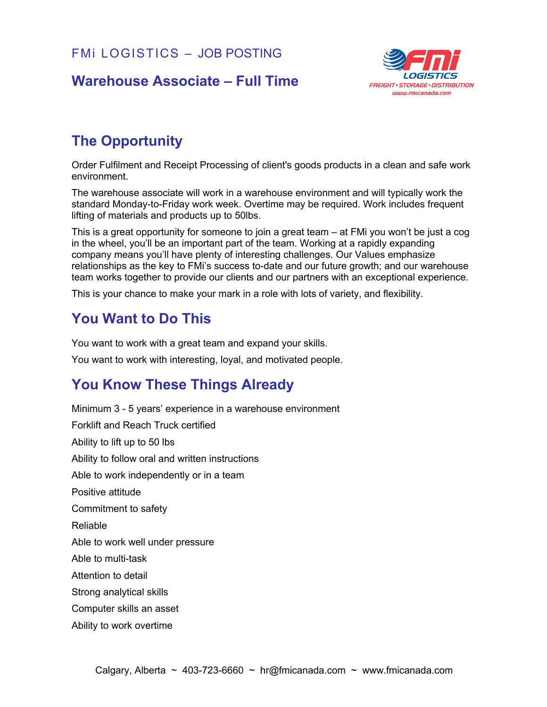### **Warehouse Associate – Full Time**



# **The Opportunity**

Order Fulfilment and Receipt Processing of client's goods products in a clean and safe work environment.

The warehouse associate will work in a warehouse environment and will typically work the standard Monday-to-Friday work week. Overtime may be required. Work includes frequent lifting of materials and products up to 50lbs.

This is a great opportunity for someone to join a great team – at FMi you won't be just a cog in the wheel, you'll be an important part of the team. Working at a rapidly expanding company means you'll have plenty of interesting challenges. Our Values emphasize relationships as the key to FMi's success to-date and our future growth; and our warehouse team works together to provide our clients and our partners with an exceptional experience.

This is your chance to make your mark in a role with lots of variety, and flexibility.

## **You Want to Do This**

You want to work with a great team and expand your skills.

You want to work with interesting, loyal, and motivated people.

### **You Know These Things Already**

Minimum 3 - 5 years' experience in a warehouse environment Forklift and Reach Truck certified Ability to lift up to 50 lbs Ability to follow oral and written instructions Able to work independently or in a team Positive attitude Commitment to safety Reliable Able to work well under pressure Able to multi-task Attention to detail Strong analytical skills Computer skills an asset Ability to work overtime